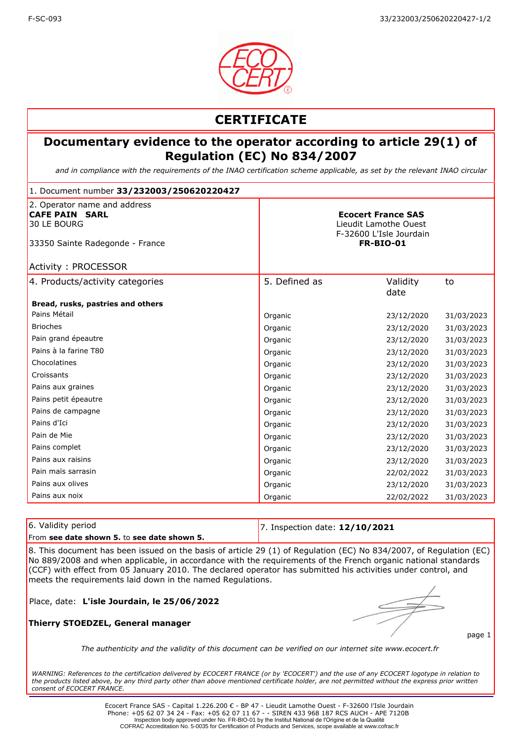

## **CERTIFICATE**

### **Documentary evidence to the operator according to article 29(1) of Regulation (EC) No 834/2007**

*and in compliance with the requirements of the INAO certification scheme applicable, as set by the relevant INAO circular*

| 1. Document number 33/232003/250620220427                                                                                             |               |                                                                                                   |            |  |
|---------------------------------------------------------------------------------------------------------------------------------------|---------------|---------------------------------------------------------------------------------------------------|------------|--|
| 2. Operator name and address<br><b>CAFE PAIN SARL</b><br>30 LE BOURG<br>33350 Sainte Radegonde - France<br><b>Activity: PROCESSOR</b> |               | <b>Ecocert France SAS</b><br>Lieudit Lamothe Ouest<br>F-32600 L'Isle Jourdain<br><b>FR-BIO-01</b> |            |  |
| 4. Products/activity categories                                                                                                       | 5. Defined as | Validity<br>date                                                                                  | to         |  |
| Bread, rusks, pastries and others                                                                                                     |               |                                                                                                   |            |  |
| Pains Métail                                                                                                                          | Organic       | 23/12/2020                                                                                        | 31/03/2023 |  |
| <b>Brioches</b>                                                                                                                       | Organic       | 23/12/2020                                                                                        | 31/03/2023 |  |
| Pain grand épeautre                                                                                                                   | Organic       | 23/12/2020                                                                                        | 31/03/2023 |  |
| Pains à la farine T80                                                                                                                 | Organic       | 23/12/2020                                                                                        | 31/03/2023 |  |
| Chocolatines                                                                                                                          | Organic       | 23/12/2020                                                                                        | 31/03/2023 |  |
| Croissants                                                                                                                            | Organic       | 23/12/2020                                                                                        | 31/03/2023 |  |
| Pains aux graines                                                                                                                     | Organic       | 23/12/2020                                                                                        | 31/03/2023 |  |
| Pains petit épeautre                                                                                                                  | Organic       | 23/12/2020                                                                                        | 31/03/2023 |  |
| Pains de campagne                                                                                                                     | Organic       | 23/12/2020                                                                                        | 31/03/2023 |  |
| Pains d'Ici                                                                                                                           | Organic       | 23/12/2020                                                                                        | 31/03/2023 |  |
| Pain de Mie                                                                                                                           | Organic       | 23/12/2020                                                                                        | 31/03/2023 |  |
| Pains complet                                                                                                                         | Organic       | 23/12/2020                                                                                        | 31/03/2023 |  |
| Pains aux raisins                                                                                                                     | Organic       | 23/12/2020                                                                                        | 31/03/2023 |  |
| Pain maïs sarrasin                                                                                                                    | Organic       | 22/02/2022                                                                                        | 31/03/2023 |  |
| Pains aux olives                                                                                                                      | Organic       | 23/12/2020                                                                                        | 31/03/2023 |  |
| Pains aux noix                                                                                                                        | Organic       | 22/02/2022                                                                                        | 31/03/2023 |  |

| 6. Validity period                                                                                          | 7. Inspection date: $12/10/2021$ |  |  |
|-------------------------------------------------------------------------------------------------------------|----------------------------------|--|--|
| From see date shown 5, to see date shown 5.                                                                 |                                  |  |  |
| 10. This decoupled hold to the death of the field on (4) of Boundaries (EC) No 004/0007 of Boundaries (EC). |                                  |  |  |

8. This document has been issued on the basis of article 29 (1) of Regulation (EC) No 834/2007, of Regulation (EC) No 889/2008 and when applicable, in accordance with the requirements of the French organic national standards (CCF) with effect from 05 January 2010. The declared operator has submitted his activities under control, and meets the requirements laid down in the named Regulations.

Place, date: **L'isle Jourdain, le 25/06/2022**

#### **Thierry STOEDZEL, General manager**

page 1

*The authenticity and the validity of this document can be verified on our internet site www.ecocert.fr*

*WARNING: References to the certification delivered by ECOCERT FRANCE (or by 'ECOCERT') and the use of any ECOCERT logotype in relation to the products listed above, by any third party other than above mentioned certificate holder, are not permitted without the express prior written consent of ECOCERT FRANCE.*